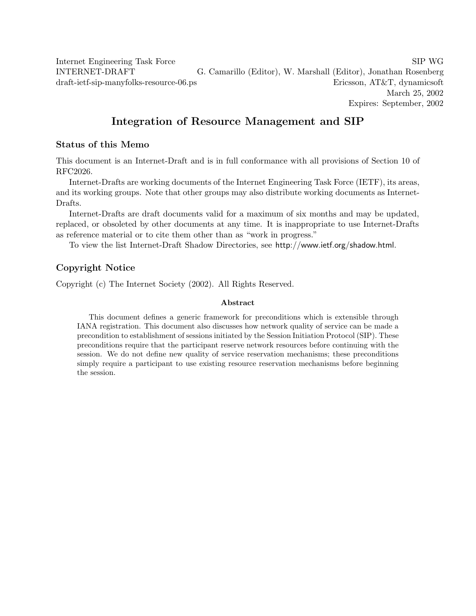Internet Engineering Task Force SIP WG INTERNET-DRAFT G. Camarillo (Editor), W. Marshall (Editor), Jonathan Rosenberg draft-ietf-sip-manyfolks-resource-06.ps Ericsson, AT&T, dynamicsoft March 25, 2002 Expires: September, 2002

# **Integration of Resource Management and SIP**

#### **Status of this Memo**

This document is an Internet-Draft and is in full conformance with all provisions of Section 10 of RFC2026.

Internet-Drafts are working documents of the Internet Engineering Task Force (IETF), its areas, and its working groups. Note that other groups may also distribute working documents as Internet-Drafts.

Internet-Drafts are draft documents valid for a maximum of six months and may be updated, replaced, or obsoleted by other documents at any time. It is inappropriate to use Internet-Drafts as reference material or to cite them other than as "work in progress."

To view the list Internet-Draft Shadow Directories, see http://www.ietf.org/shadow.html.

## **Copyright Notice**

Copyright (c) The Internet Society (2002). All Rights Reserved.

#### **Abstract**

This document defines a generic framework for preconditions which is extensible through IANA registration. This document also discusses how network quality of service can be made a precondition to establishment of sessions initiated by the Session Initiation Protocol (SIP). These preconditions require that the participant reserve network resources before continuing with the session. We do not define new quality of service reservation mechanisms; these preconditions simply require a participant to use existing resource reservation mechanisms before beginning the session.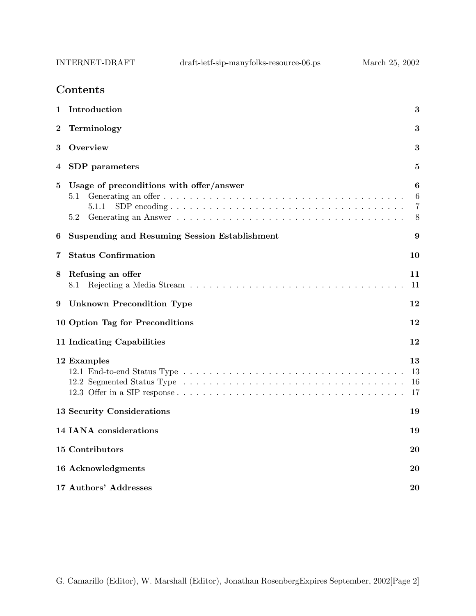|                  | <b>INTERNET-DRAFT</b>                                           | draft-ietf-sip-manyfolks-resource-06.ps | March 25, 2002 |                                             |  |  |
|------------------|-----------------------------------------------------------------|-----------------------------------------|----------------|---------------------------------------------|--|--|
|                  | Contents                                                        |                                         |                |                                             |  |  |
| 1                | Introduction                                                    |                                         |                | 3                                           |  |  |
| $\boldsymbol{2}$ | Terminology                                                     |                                         |                | 3                                           |  |  |
| 3                | Overview                                                        |                                         |                |                                             |  |  |
| 4                | SDP parameters                                                  |                                         |                |                                             |  |  |
| 5                | Usage of preconditions with offer/answer<br>5.1<br>5.1.1<br>5.2 |                                         |                | 6<br>$6\phantom{.}6$<br>$\overline{7}$<br>8 |  |  |
| 6                | <b>Suspending and Resuming Session Establishment</b>            |                                         |                | 9                                           |  |  |
| 7                | <b>Status Confirmation</b>                                      |                                         |                |                                             |  |  |
| 8                | Refusing an offer<br>8.1                                        |                                         |                | 11<br>11                                    |  |  |
| 9                | Unknown Precondition Type                                       |                                         |                | 12                                          |  |  |
|                  | 10 Option Tag for Preconditions<br>12                           |                                         |                |                                             |  |  |
|                  | 11 Indicating Capabilities                                      |                                         |                | 12                                          |  |  |
|                  | 12 Examples                                                     |                                         |                | 13<br>13<br>16<br>17                        |  |  |
|                  | <b>13 Security Considerations</b>                               |                                         |                | 19                                          |  |  |
|                  | 14 IANA considerations                                          |                                         |                | 19                                          |  |  |
|                  | 15 Contributors                                                 |                                         |                |                                             |  |  |
|                  | 16 Acknowledgments<br>20                                        |                                         |                |                                             |  |  |
|                  | 17 Authors' Addresses<br>20                                     |                                         |                |                                             |  |  |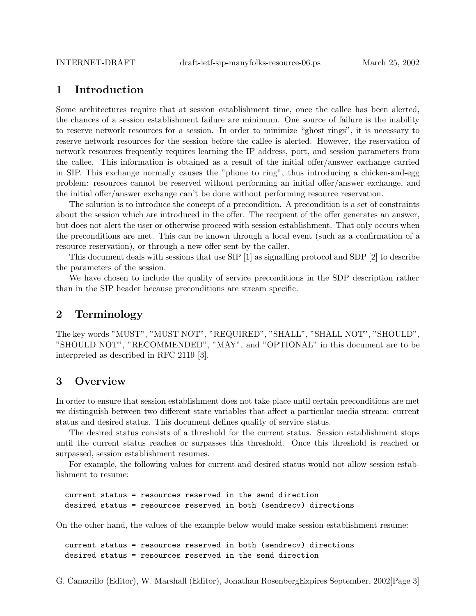# **1 Introduction**

Some architectures require that at session establishment time, once the callee has been alerted, the chances of a session establishment failure are minimum. One source of failure is the inability to reserve network resources for a session. In order to minimize "ghost rings", it is necessary to reserve network resources for the session before the callee is alerted. However, the reservation of network resources frequently requires learning the IP address, port, and session parameters from the callee. This information is obtained as a result of the initial offer/answer exchange carried in SIP. This exchange normally causes the "phone to ring", thus introducing a chicken-and-egg problem: resources cannot be reserved without performing an initial offer/answer exchange, and the initial offer/answer exchange can't be done without performing resource reservation.

The solution is to introduce the concept of a precondition. A precondition is a set of constraints about the session which are introduced in the offer. The recipient of the offer generates an answer, but does not alert the user or otherwise proceed with session establishment. That only occurs when the preconditions are met. This can be known through a local event (such as a confirmation of a resource reservation), or through a new offer sent by the caller.

This document deals with sessions that use SIP [1] as signalling protocol and SDP [2] to describe the parameters of the session.

We have chosen to include the quality of service preconditions in the SDP description rather than in the SIP header because preconditions are stream specific.

## **2 Terminology**

The key words "MUST", "MUST NOT", "REQUIRED", "SHALL", "SHALL NOT", "SHOULD", "SHOULD NOT", "RECOMMENDED", "MAY", and "OPTIONAL" in this document are to be interpreted as described in RFC 2119 [3].

## **3 Overview**

In order to ensure that session establishment does not take place until certain preconditions are met we distinguish between two different state variables that affect a particular media stream: current status and desired status. This document defines quality of service status.

The desired status consists of a threshold for the current status. Session establishment stops until the current status reaches or surpasses this threshold. Once this threshold is reached or surpassed, session establishment resumes.

For example, the following values for current and desired status would not allow session establishment to resume:

current status = resources reserved in the send direction desired status = resources reserved in both (sendrecv) directions

On the other hand, the values of the example below would make session establishment resume:

current status = resources reserved in both (sendrecv) directions desired status = resources reserved in the send direction

G. Camarillo (Editor), W. Marshall (Editor), Jonathan RosenbergExpires September, 2002[Page 3]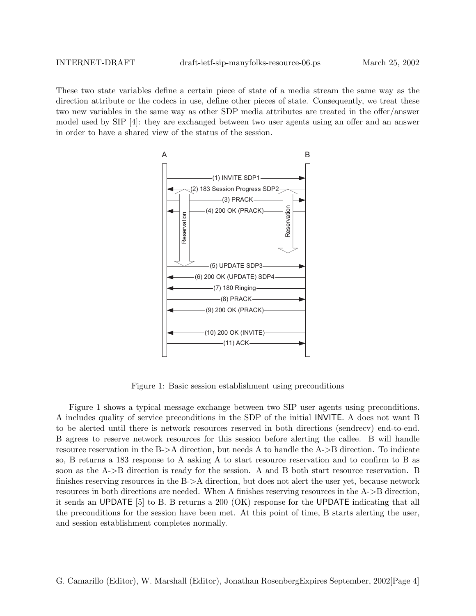These two state variables define a certain piece of state of a media stream the same way as the direction attribute or the codecs in use, define other pieces of state. Consequently, we treat these two new variables in the same way as other SDP media attributes are treated in the offer/answer model used by SIP [4]: they are exchanged between two user agents using an offer and an answer in order to have a shared view of the status of the session.



Figure 1: Basic session establishment using preconditions

Figure 1 shows a typical message exchange between two SIP user agents using preconditions. A includes quality of service preconditions in the SDP of the initial INVITE. A does not want B to be alerted until there is network resources reserved in both directions (sendrecv) end-to-end. B agrees to reserve network resources for this session before alerting the callee. B will handle resource reservation in the B->A direction, but needs A to handle the A->B direction. To indicate so, B returns a 183 response to A asking A to start resource reservation and to confirm to B as soon as the A->B direction is ready for the session. A and B both start resource reservation. B finishes reserving resources in the  $B > A$  direction, but does not alert the user yet, because network resources in both directions are needed. When A finishes reserving resources in the A->B direction, it sends an UPDATE [5] to B. B returns a 200 (OK) response for the UPDATE indicating that all the preconditions for the session have been met. At this point of time, B starts alerting the user, and session establishment completes normally.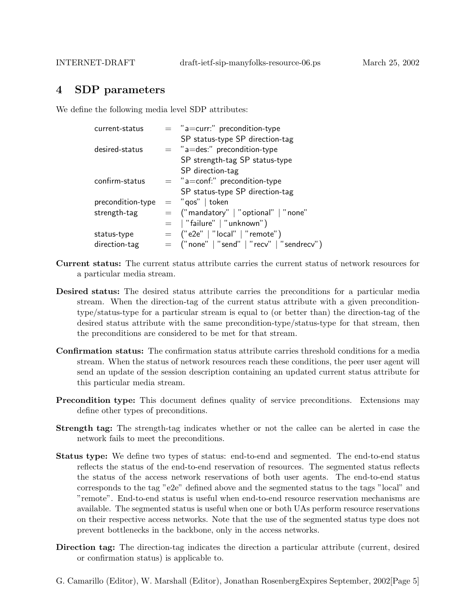# **4 SDP parameters**

We define the following media level SDP attributes:

| current-status    | $=$ "a=curr:" precondition-type           |
|-------------------|-------------------------------------------|
|                   | SP status-type SP direction-tag           |
| desired-status    | $=$ "a=des:" precondition-type            |
|                   | SP strength-tag SP status-type            |
|                   | SP direction-tag                          |
| confirm-status    | $=$ "a=conf:" precondition-type           |
|                   | SP status-type SP direction-tag           |
| precondition-type | $=$ "qos"   token                         |
| strength-tag      | $=$ ("mandatory"   "optional"   "none"    |
|                   | $=$   "failure"   "unknown")              |
| status-type       | $=$ ("e2e"   "local"   "remote")          |
| direction-tag     | = ("none"   "send"   "recv"   "sendrecv") |
|                   |                                           |

- **Current status:** The current status attribute carries the current status of network resources for a particular media stream.
- **Desired status:** The desired status attribute carries the preconditions for a particular media stream. When the direction-tag of the current status attribute with a given preconditiontype/status-type for a particular stream is equal to (or better than) the direction-tag of the desired status attribute with the same precondition-type/status-type for that stream, then the preconditions are considered to be met for that stream.
- **Confirmation status:** The confirmation status attribute carries threshold conditions for a media stream. When the status of network resources reach these conditions, the peer user agent will send an update of the session description containing an updated current status attribute for this particular media stream.
- **Precondition type:** This document defines quality of service preconditions. Extensions may define other types of preconditions.
- **Strength tag:** The strength-tag indicates whether or not the callee can be alerted in case the network fails to meet the preconditions.
- **Status type:** We define two types of status: end-to-end and segmented. The end-to-end status reflects the status of the end-to-end reservation of resources. The segmented status reflects the status of the access network reservations of both user agents. The end-to-end status corresponds to the tag "e2e" defined above and the segmented status to the tags "local" and "remote". End-to-end status is useful when end-to-end resource reservation mechanisms are available. The segmented status is useful when one or both UAs perform resource reservations on their respective access networks. Note that the use of the segmented status type does not prevent bottlenecks in the backbone, only in the access networks.
- **Direction tag:** The direction-tag indicates the direction a particular attribute (current, desired or confirmation status) is applicable to.
- G. Camarillo (Editor), W. Marshall (Editor), Jonathan RosenbergExpires September, 2002[Page 5]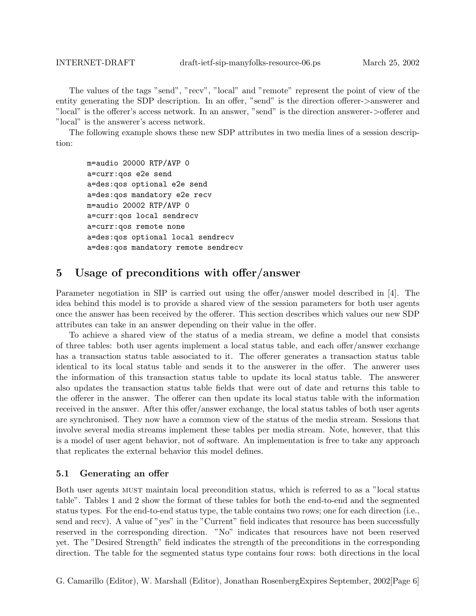The values of the tags "send", "recv", "local" and "remote" represent the point of view of the entity generating the SDP description. In an offer, "send" is the direction offerer->answerer and "local" is the offerer's access network. In an answer, "send" is the direction answerer->offerer and "local" is the answerer's access network.

The following example shows these new SDP attributes in two media lines of a session description:

m=audio 20000 RTP/AVP 0 a=curr:qos e2e send a=des:qos optional e2e send a=des:qos mandatory e2e recv m=audio 20002 RTP/AVP 0 a=curr:qos local sendrecv a=curr:qos remote none a=des:qos optional local sendrecv a=des:qos mandatory remote sendrecv

## **5 Usage of preconditions with offer/answer**

Parameter negotiation in SIP is carried out using the offer/answer model described in [4]. The idea behind this model is to provide a shared view of the session parameters for both user agents once the answer has been received by the offerer. This section describes which values our new SDP attributes can take in an answer depending on their value in the offer.

To achieve a shared view of the status of a media stream, we define a model that consists of three tables: both user agents implement a local status table, and each offer/answer exchange has a transaction status table associated to it. The offerer generates a transaction status table identical to its local status table and sends it to the answerer in the offer. The anwerer uses the information of this transaction status table to update its local status table. The answerer also updates the transaction status table fields that were out of date and returns this table to the offerer in the answer. The offerer can then update its local status table with the information received in the answer. After this offer/answer exchange, the local status tables of both user agents are synchronised. They now have a common view of the status of the media stream. Sessions that involve several media streams implement these tables per media stream. Note, however, that this is a model of user agent behavior, not of software. An implementation is free to take any approach that replicates the external behavior this model defines.

#### **5.1 Generating an offer**

Both user agents MUST maintain local precondition status, which is referred to as a "local status table". Tables 1 and 2 show the format of these tables for both the end-to-end and the segmented status types. For the end-to-end status type, the table contains two rows; one for each direction (i.e., send and recv). A value of "yes" in the "Current" field indicates that resource has been successfully reserved in the corresponding direction. "No" indicates that resources have not been reserved yet. The "Desired Strength" field indicates the strength of the preconditions in the corresponding direction. The table for the segmented status type contains four rows: both directions in the local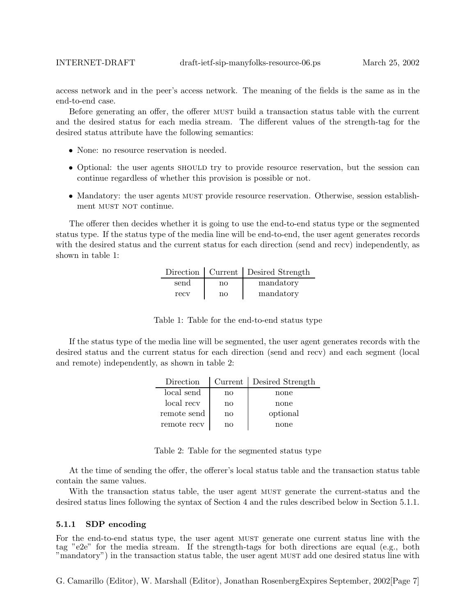access network and in the peer's access network. The meaning of the fields is the same as in the end-to-end case.

Before generating an offer, the offerer MUST build a transaction status table with the current and the desired status for each media stream. The different values of the strength-tag for the desired status attribute have the following semantics:

- None: no resource reservation is needed.
- Optional: the user agents SHOULD try to provide resource reservation, but the session can continue regardless of whether this provision is possible or not.
- Mandatory: the user agents MUST provide resource reservation. Otherwise, session establishment MUST NOT continue.

The offerer then decides whether it is going to use the end-to-end status type or the segmented status type. If the status type of the media line will be end-to-end, the user agent generates records with the desired status and the current status for each direction (send and recv) independently, as shown in table 1:

|      |    | Direction   Current   Desired Strength |
|------|----|----------------------------------------|
| send | no | mandatory                              |
| recy | no | mandatory                              |

|  |  |  |  |  | Table 1: Table for the end-to-end status type |  |  |
|--|--|--|--|--|-----------------------------------------------|--|--|
|--|--|--|--|--|-----------------------------------------------|--|--|

If the status type of the media line will be segmented, the user agent generates records with the desired status and the current status for each direction (send and recv) and each segment (local and remote) independently, as shown in table 2:

| Direction   | Current | Desired Strength |
|-------------|---------|------------------|
| local send  | no      | none             |
| local recv  | no      | none             |
| remote send | no      | optional         |
| remote recy | nο      | none             |

Table 2: Table for the segmented status type

At the time of sending the offer, the offerer's local status table and the transaction status table contain the same values.

With the transaction status table, the user agent MUST generate the current-status and the desired status lines following the syntax of Section 4 and the rules described below in Section 5.1.1.

#### **5.1.1 SDP encoding**

For the end-to-end status type, the user agent MUST generate one current status line with the tag "e2e" for the media stream. If the strength-tags for both directions are equal (e.g., both "mandatory") in the transaction status table, the user agent must add one desired status line with

G. Camarillo (Editor), W. Marshall (Editor), Jonathan RosenbergExpires September, 2002[Page 7]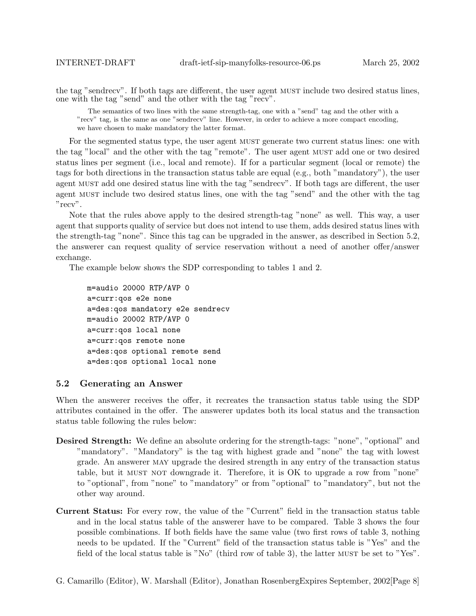the tag "sendrecv". If both tags are different, the user agent MUST include two desired status lines, one with the tag "send" and the other with the tag "recv".

The semantics of two lines with the same strength-tag, one with a "send" tag and the other with a "recv" tag, is the same as one "sendrecv" line. However, in order to achieve a more compact encoding, we have chosen to make mandatory the latter format.

For the segmented status type, the user agent must generate two current status lines: one with the tag "local" and the other with the tag "remote". The user agent MUST add one or two desired status lines per segment (i.e., local and remote). If for a particular segment (local or remote) the tags for both directions in the transaction status table are equal (e.g., both "mandatory"), the user agent must add one desired status line with the tag "sendrecv". If both tags are different, the user agent must include two desired status lines, one with the tag "send" and the other with the tag "recv".

Note that the rules above apply to the desired strength-tag "none" as well. This way, a user agent that supports quality of service but does not intend to use them, adds desired status lines with the strength-tag "none". Since this tag can be upgraded in the answer, as described in Section 5.2, the answerer can request quality of service reservation without a need of another offer/answer exchange.

The example below shows the SDP corresponding to tables 1 and 2.

```
m=audio 20000 RTP/AVP 0
a=curr:qos e2e none
a=des:qos mandatory e2e sendrecv
m=audio 20002 RTP/AVP 0
a=curr:qos local none
a=curr:qos remote none
a=des:qos optional remote send
a=des:qos optional local none
```
#### **5.2 Generating an Answer**

When the answerer receives the offer, it recreates the transaction status table using the SDP attributes contained in the offer. The answerer updates both its local status and the transaction status table following the rules below:

- **Desired Strength:** We define an absolute ordering for the strength-tags: "none", "optional" and "mandatory". "Mandatory" is the tag with highest grade and "none" the tag with lowest grade. An answerer may upgrade the desired strength in any entry of the transaction status table, but it must not downgrade it. Therefore, it is OK to upgrade a row from "none" to "optional", from "none" to "mandatory" or from "optional" to "mandatory", but not the other way around.
- **Current Status:** For every row, the value of the "Current" field in the transaction status table and in the local status table of the answerer have to be compared. Table 3 shows the four possible combinations. If both fields have the same value (two first rows of table 3, nothing needs to be updated. If the "Current" field of the transaction status table is "Yes" and the field of the local status table is "No" (third row of table 3), the latter MUST be set to "Yes".
- G. Camarillo (Editor), W. Marshall (Editor), Jonathan RosenbergExpires September, 2002[Page 8]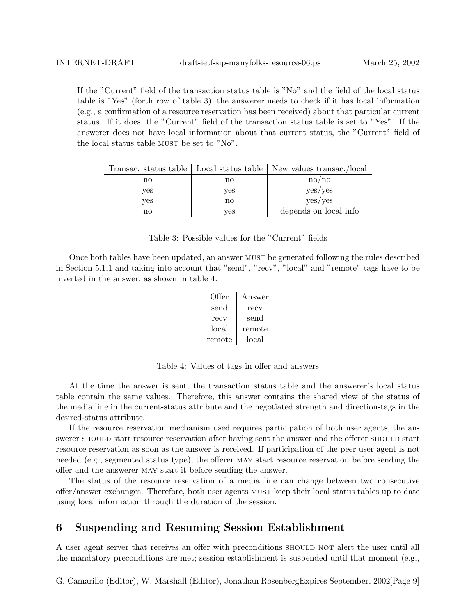If the "Current" field of the transaction status table is "No" and the field of the local status table is "Yes" (forth row of table 3), the answerer needs to check if it has local information (e.g., a confirmation of a resource reservation has been received) about that particular current status. If it does, the "Current" field of the transaction status table is set to "Yes". If the answerer does not have local information about that current status, the "Current" field of the local status table MUST be set to "No".

|     |                        | Transac. status table   Local status table   New values transac./local |
|-----|------------------------|------------------------------------------------------------------------|
| no  | $\mathop{\mathrm{no}}$ | no/no                                                                  |
| ves | yes                    | yes/yes                                                                |
| ves | no                     | yes/yes                                                                |
| no  | yes                    | depends on local info                                                  |

| Table 3: Possible values for the "Current" fields |  |
|---------------------------------------------------|--|
|---------------------------------------------------|--|

Once both tables have been updated, an answer must be generated following the rules described in Section 5.1.1 and taking into account that "send", "recv", "local" and "remote" tags have to be inverted in the answer, as shown in table 4.

| Offer  | Answer |
|--------|--------|
| send   | recy   |
| recy   | send   |
| local  | remote |
| remote | local  |

Table 4: Values of tags in offer and answers

At the time the answer is sent, the transaction status table and the answerer's local status table contain the same values. Therefore, this answer contains the shared view of the status of the media line in the current-status attribute and the negotiated strength and direction-tags in the desired-status attribute.

If the resource reservation mechanism used requires participation of both user agents, the answerer should start resource reservation after having sent the answer and the offerer should start resource reservation as soon as the answer is received. If participation of the peer user agent is not needed (e.g., segmented status type), the offerer may start resource reservation before sending the offer and the answerer may start it before sending the answer.

The status of the resource reservation of a media line can change between two consecutive offer/answer exchanges. Therefore, both user agents must keep their local status tables up to date using local information through the duration of the session.

## **6 Suspending and Resuming Session Establishment**

A user agent server that receives an offer with preconditions should not allert the user until all the mandatory preconditions are met; session establishment is suspended until that moment (e.g.,

G. Camarillo (Editor), W. Marshall (Editor), Jonathan RosenbergExpires September, 2002[Page 9]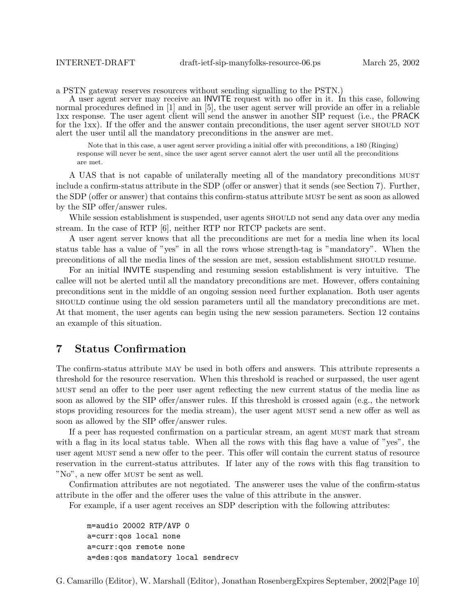a PSTN gateway reserves resources without sending signalling to the PSTN.)

A user agent server may receive an INVITE request with no offer in it. In this case, following normal procedures defined in [1] and in [5], the user agent server will provide an offer in a reliable 1xx response. The user agent client will send the answer in another SIP request (i.e., the PRACK for the 1xx). If the offer and the answer contain preconditions, the user agent server SHOULD NOT alert the user until all the mandatory preconditions in the answer are met.

Note that in this case, a user agent server providing a initial offer with preconditions, a 180 (Ringing) response will never be sent, since the user agent server cannot alert the user until all the preconditions are met.

A UAS that is not capable of unilaterally meeting all of the mandatory preconditions must include a confirm-status attribute in the SDP (offer or answer) that it sends (see Section 7). Further, the SDP (offer or answer) that contains this confirm-status attribute must be sent as soon as allowed by the SIP offer/answer rules.

While session establishment is suspended, user agents SHOULD not send any data over any media stream. In the case of RTP [6], neither RTP nor RTCP packets are sent.

A user agent server knows that all the preconditions are met for a media line when its local status table has a value of "yes" in all the rows whose strength-tag is "mandatory". When the preconditions of all the media lines of the session are met, session establishment should resume.

For an initial INVITE suspending and resuming session establishment is very intuitive. The callee will not be alerted until all the mandatory preconditions are met. However, offers containing preconditions sent in the middle of an ongoing session need further explanation. Both user agents should continue using the old session parameters until all the mandatory preconditions are met. At that moment, the user agents can begin using the new session parameters. Section 12 contains an example of this situation.

## **7 Status Confirmation**

The confirm-status attribute may be used in both offers and answers. This attribute represents a threshold for the resource reservation. When this threshold is reached or surpassed, the user agent must send an offer to the peer user agent reflecting the new current status of the media line as soon as allowed by the SIP offer/answer rules. If this threshold is crossed again (e.g., the network stops providing resources for the media stream), the user agent MUST send a new offer as well as soon as allowed by the SIP offer/answer rules.

If a peer has requested confirmation on a particular stream, an agent must mark that stream with a flag in its local status table. When all the rows with this flag have a value of "yes", the user agent must send a new offer to the peer. This offer will contain the current status of resource reservation in the current-status attributes. If later any of the rows with this flag transition to "No", a new offer MUST be sent as well.

Confirmation attributes are not negotiated. The answerer uses the value of the confirm-status attribute in the offer and the offerer uses the value of this attribute in the answer.

For example, if a user agent receives an SDP description with the following attributes:

m=audio 20002 RTP/AVP 0 a=curr:qos local none a=curr:qos remote none a=des:qos mandatory local sendrecv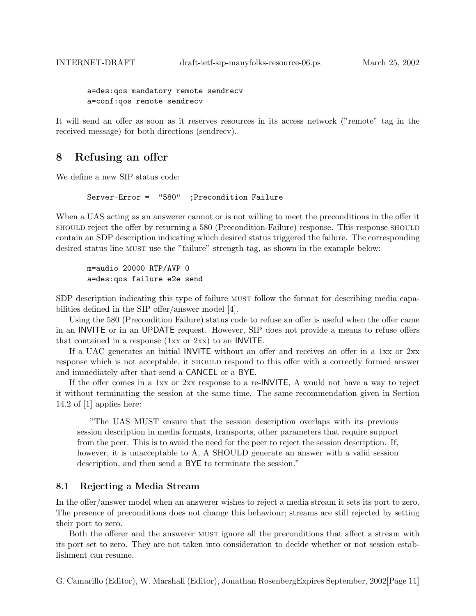a=des:qos mandatory remote sendrecv a=conf:qos remote sendrecv

It will send an offer as soon as it reserves resources in its access network ("remote" tag in the received message) for both directions (sendrecv).

## **8 Refusing an offer**

We define a new SIP status code:

Server-Error = "580" ;Precondition Failure

When a UAS acting as an answerer cannot or is not willing to meet the preconditions in the offer it should reject the offer by returning a 580 (Precondition-Failure) response. This response should contain an SDP description indicating which desired status triggered the failure. The corresponding desired status line MUST use the "failure" strength-tag, as shown in the example below:

m=audio 20000 RTP/AVP 0 a=des:qos failure e2e send

SDP description indicating this type of failure MUST follow the format for describing media capabilities defined in the SIP offer/answer model [4].

Using the 580 (Precondition Failure) status code to refuse an offer is useful when the offer came in an INVITE or in an UPDATE request. However, SIP does not provide a means to refuse offers that contained in a response (1xx or 2xx) to an INVITE.

If a UAC generates an initial INVITE without an offer and receives an offer in a 1xx or 2xx response which is not acceptable, it should respond to this offer with a correctly formed answer and immediately after that send a CANCEL or a BYE.

If the offer comes in a 1xx or 2xx response to a re-INVITE, A would not have a way to reject it without terminating the session at the same time. The same recommendation given in Section 14.2 of [1] applies here:

"The UAS MUST ensure that the session description overlaps with its previous session description in media formats, transports, other parameters that require support from the peer. This is to avoid the need for the peer to reject the session description. If, however, it is unacceptable to A, A SHOULD generate an answer with a valid session description, and then send a BYE to terminate the session."

#### **8.1 Rejecting a Media Stream**

In the offer/answer model when an answerer wishes to reject a media stream it sets its port to zero. The presence of preconditions does not change this behaviour; streams are still rejected by setting their port to zero.

Both the offerer and the answerer must ignore all the preconditions that affect a stream with its port set to zero. They are not taken into consideration to decide whether or not session establishment can resume.

G. Camarillo (Editor), W. Marshall (Editor), Jonathan RosenbergExpires September, 2002[Page 11]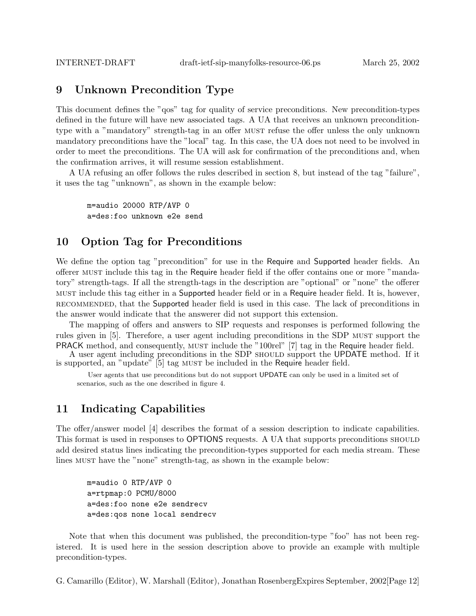# **9 Unknown Precondition Type**

This document defines the "qos" tag for quality of service preconditions. New precondition-types defined in the future will have new associated tags. A UA that receives an unknown preconditiontype with a "mandatory" strength-tag in an offer must refuse the offer unless the only unknown mandatory preconditions have the "local" tag. In this case, the UA does not need to be involved in order to meet the preconditions. The UA will ask for confirmation of the preconditions and, when the confirmation arrives, it will resume session establishment.

A UA refusing an offer follows the rules described in section 8, but instead of the tag "failure", it uses the tag "unknown", as shown in the example below:

m=audio 20000 RTP/AVP 0 a=des:foo unknown e2e send

## **10 Option Tag for Preconditions**

We define the option tag "precondition" for use in the Require and Supported header fields. An offerer must include this tag in the Require header field if the offer contains one or more "mandatory" strength-tags. If all the strength-tags in the description are "optional" or "none" the offerer must include this tag either in a Supported header field or in a Require header field. It is, however, recommended, that the Supported header field is used in this case. The lack of preconditions in the answer would indicate that the answerer did not support this extension.

The mapping of offers and answers to SIP requests and responses is performed following the rules given in [5]. Therefore, a user agent including preconditions in the SDP MUST support the PRACK method, and consequently, MUST include the "100rel" [7] tag in the Require header field.

A user agent including preconditions in the SDP should support the UPDATE method. If it is supported, an "update" [5] tag must be included in the Require header field.

User agents that use preconditions but do not support UPDATE can only be used in a limited set of scenarios, such as the one described in figure 4.

## **11 Indicating Capabilities**

The offer/answer model [4] describes the format of a session description to indicate capabilities. This format is used in responses to OPTIONS requests. A UA that supports preconditions SHOULD add desired status lines indicating the precondition-types supported for each media stream. These lines must have the "none" strength-tag, as shown in the example below:

m=audio 0 RTP/AVP 0 a=rtpmap:0 PCMU/8000 a=des:foo none e2e sendrecv a=des:qos none local sendrecv

Note that when this document was published, the precondition-type "foo" has not been registered. It is used here in the session description above to provide an example with multiple precondition-types.

G. Camarillo (Editor), W. Marshall (Editor), Jonathan RosenbergExpires September, 2002[Page 12]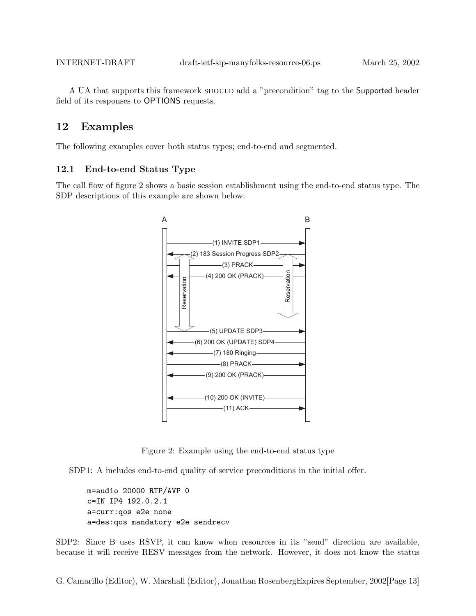A UA that supports this framework should a "precondition" tag to the Supported header field of its responses to OPTIONS requests.

# **12 Examples**

The following examples cover both status types; end-to-end and segmented.

## **12.1 End-to-end Status Type**

The call flow of figure 2 shows a basic session establishment using the end-to-end status type. The SDP descriptions of this example are shown below:



Figure 2: Example using the end-to-end status type

SDP1: A includes end-to-end quality of service preconditions in the initial offer.

```
m=audio 20000 RTP/AVP 0
c=IN IP4 192.0.2.1
a=curr:qos e2e none
a=des:qos mandatory e2e sendrecv
```
SDP2: Since B uses RSVP, it can know when resources in its "send" direction are available, because it will receive RESV messages from the network. However, it does not know the status

G. Camarillo (Editor), W. Marshall (Editor), Jonathan RosenbergExpires September, 2002[Page 13]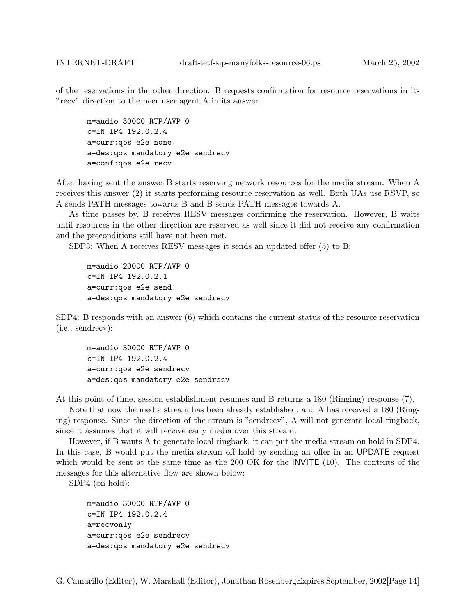of the reservations in the other direction. B requests confirmation for resource reservations in its "recv" direction to the peer user agent A in its answer.

m=audio 30000 RTP/AVP 0 c=IN IP4 192.0.2.4 a=curr:qos e2e none a=des:qos mandatory e2e sendrecv a=conf:qos e2e recv

After having sent the answer B starts reserving network resources for the media stream. When A receives this answer (2) it starts performing resource reservation as well. Both UAs use RSVP, so A sends PATH messages towards B and B sends PATH messages towards A.

As time passes by, B receives RESV messages confirming the reservation. However, B waits until resources in the other direction are reserved as well since it did not receive any confirmation and the preconditions still have not been met.

SDP3: When A receives RESV messages it sends an updated offer (5) to B:

m=audio 20000 RTP/AVP 0 c=IN IP4 192.0.2.1 a=curr:qos e2e send a=des:qos mandatory e2e sendrecv

SDP4: B responds with an answer (6) which contains the current status of the resource reservation (i.e., sendrecv):

m=audio 30000 RTP/AVP 0 c=IN IP4 192.0.2.4 a=curr:qos e2e sendrecv a=des:qos mandatory e2e sendrecv

At this point of time, session establishment resumes and B returns a 180 (Ringing) response (7).

Note that now the media stream has been already established, and A has received a 180 (Ringing) response. Since the direction of the stream is "sendrecv", A will not generate local ringback, since it assumes that it will receive early media over this stream.

However, if B wants A to generate local ringback, it can put the media stream on hold in SDP4. In this case, B would put the media stream off hold by sending an offer in an UPDATE request which would be sent at the same time as the 200 OK for the INVITE (10). The contents of the messages for this alternative flow are shown below:

SDP4 (on hold):

m=audio 30000 RTP/AVP 0 c=IN IP4 192.0.2.4 a=recvonly a=curr:qos e2e sendrecv a=des:qos mandatory e2e sendrecv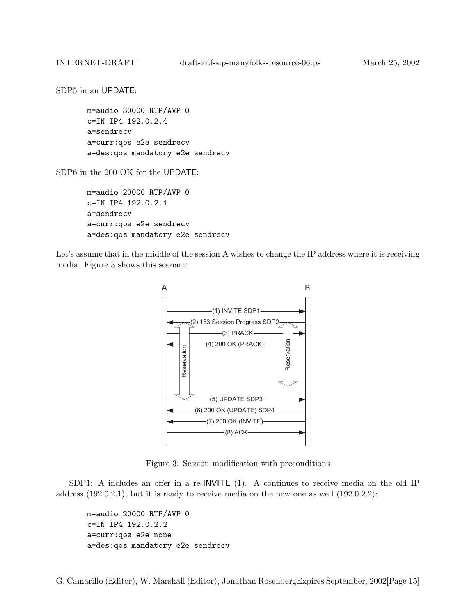#### SDP5 in an UPDATE:

m=audio 30000 RTP/AVP 0 c=IN IP4 192.0.2.4 a=sendrecv a=curr:qos e2e sendrecv a=des:qos mandatory e2e sendrecv

SDP6 in the 200 OK for the UPDATE:

m=audio 20000 RTP/AVP 0 c=IN IP4 192.0.2.1 a=sendrecv a=curr:qos e2e sendrecv a=des:qos mandatory e2e sendrecv

Let's assume that in the middle of the session A wishes to change the IP address where it is receiving media. Figure 3 shows this scenario.



Figure 3: Session modification with preconditions

SDP1: A includes an offer in a re-INVITE (1). A continues to receive media on the old IP address (192.0.2.1), but it is ready to receive media on the new one as well (192.0.2.2):

m=audio 20000 RTP/AVP 0 c=IN IP4 192.0.2.2 a=curr:qos e2e none a=des:qos mandatory e2e sendrecv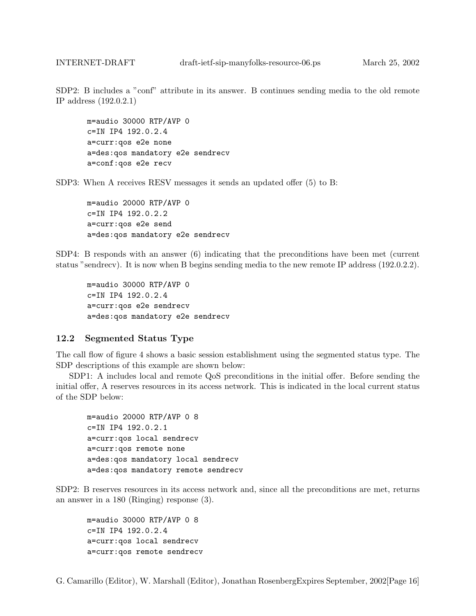SDP2: B includes a "conf" attribute in its answer. B continues sending media to the old remote IP address (192.0.2.1)

m=audio 30000 RTP/AVP 0 c=IN IP4 192.0.2.4 a=curr:qos e2e none a=des:qos mandatory e2e sendrecv a=conf:qos e2e recv

SDP3: When A receives RESV messages it sends an updated offer (5) to B:

m=audio 20000 RTP/AVP 0 c=IN IP4 192.0.2.2 a=curr:qos e2e send a=des:qos mandatory e2e sendrecv

SDP4: B responds with an answer (6) indicating that the preconditions have been met (current status "sendrecv). It is now when B begins sending media to the new remote IP address (192.0.2.2).

m=audio 30000 RTP/AVP 0 c=IN IP4 192.0.2.4 a=curr:qos e2e sendrecv a=des:qos mandatory e2e sendrecv

#### **12.2 Segmented Status Type**

The call flow of figure 4 shows a basic session establishment using the segmented status type. The SDP descriptions of this example are shown below:

SDP1: A includes local and remote QoS preconditions in the initial offer. Before sending the initial offer, A reserves resources in its access network. This is indicated in the local current status of the SDP below:

```
m=audio 20000 RTP/AVP 0 8
c=IN IP4 192.0.2.1
a=curr:qos local sendrecv
a=curr:qos remote none
a=des:qos mandatory local sendrecv
a=des:qos mandatory remote sendrecv
```
SDP2: B reserves resources in its access network and, since all the preconditions are met, returns an answer in a 180 (Ringing) response (3).

m=audio 30000 RTP/AVP 0 8 c=IN IP4 192.0.2.4 a=curr:qos local sendrecv a=curr:qos remote sendrecv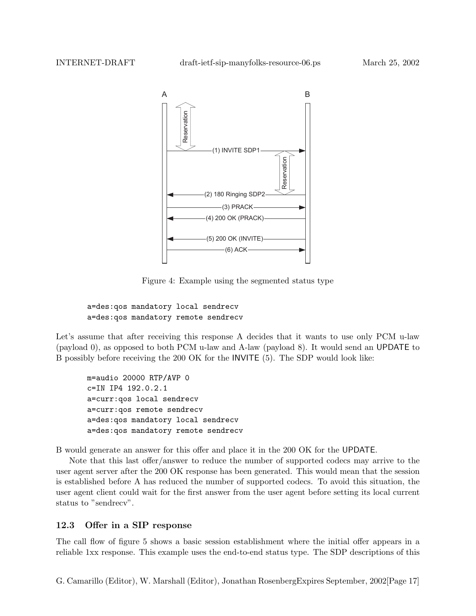

Figure 4: Example using the segmented status type

a=des:qos mandatory local sendrecv a=des:qos mandatory remote sendrecv

Let's assume that after receiving this response A decides that it wants to use only PCM u-law (payload 0), as opposed to both PCM u-law and A-law (payload 8). It would send an UPDATE to B possibly before receiving the 200 OK for the INVITE (5). The SDP would look like:

m=audio 20000 RTP/AVP 0 c=IN IP4 192.0.2.1 a=curr:qos local sendrecv a=curr:qos remote sendrecv a=des:qos mandatory local sendrecv a=des:qos mandatory remote sendrecv

B would generate an answer for this offer and place it in the 200 OK for the UPDATE.

Note that this last offer/answer to reduce the number of supported codecs may arrive to the user agent server after the 200 OK response has been generated. This would mean that the session is established before A has reduced the number of supported codecs. To avoid this situation, the user agent client could wait for the first answer from the user agent before setting its local current status to "sendrecv".

#### **12.3 Offer in a SIP response**

The call flow of figure 5 shows a basic session establishment where the initial offer appears in a reliable 1xx response. This example uses the end-to-end status type. The SDP descriptions of this

G. Camarillo (Editor), W. Marshall (Editor), Jonathan RosenbergExpires September, 2002[Page 17]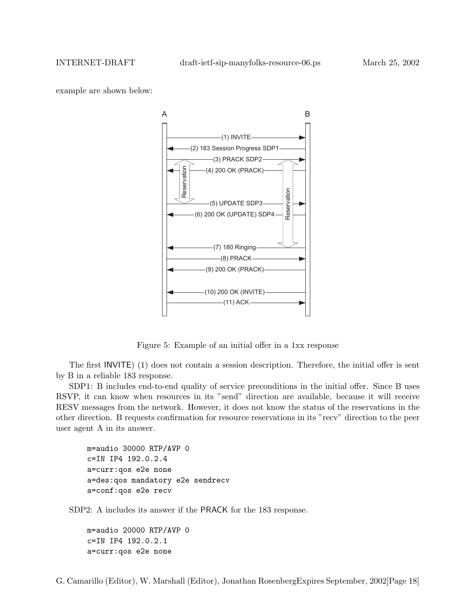example are shown below:



Figure 5: Example of an initial offer in a 1xx response

The first INVITE) (1) does not contain a session description. Therefore, the initial offer is sent by B in a reliable 183 response.

SDP1: B includes end-to-end quality of service preconditions in the initial offer. Since B uses RSVP, it can know when resources in its "send" direction are available, because it will receive RESV messages from the network. However, it does not know the status of the reservations in the other direction. B requests confirmation for resource reservations in its "recv" direction to the peer user agent A in its answer.

m=audio 30000 RTP/AVP 0 c=IN IP4 192.0.2.4 a=curr:qos e2e none a=des:qos mandatory e2e sendrecv a=conf:qos e2e recv

SDP2: A includes its answer if the PRACK for the 183 response.

m=audio 20000 RTP/AVP 0 c=IN IP4 192.0.2.1 a=curr:qos e2e none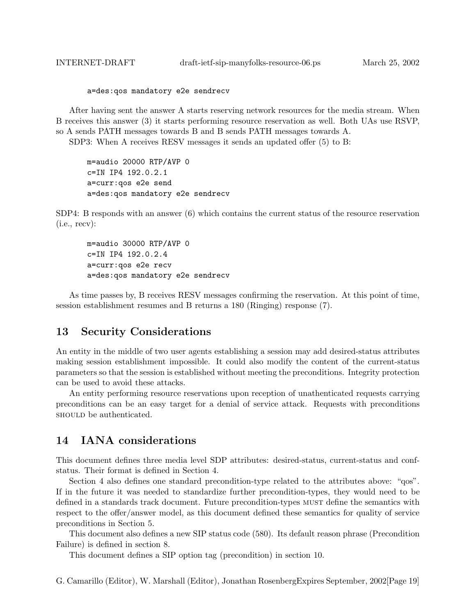a=des:qos mandatory e2e sendrecv

After having sent the answer A starts reserving network resources for the media stream. When B receives this answer (3) it starts performing resource reservation as well. Both UAs use RSVP, so A sends PATH messages towards B and B sends PATH messages towards A.

SDP3: When A receives RESV messages it sends an updated offer (5) to B:

m=audio 20000 RTP/AVP 0 c=IN IP4 192.0.2.1 a=curr:qos e2e send a=des:qos mandatory e2e sendrecv

SDP4: B responds with an answer (6) which contains the current status of the resource reservation  $(i.e.,$  recv $):$ 

m=audio 30000 RTP/AVP 0 c=IN IP4 192.0.2.4 a=curr:qos e2e recv a=des:qos mandatory e2e sendrecv

As time passes by, B receives RESV messages confirming the reservation. At this point of time, session establishment resumes and B returns a 180 (Ringing) response (7).

#### **13 Security Considerations**

An entity in the middle of two user agents establishing a session may add desired-status attributes making session establishment impossible. It could also modify the content of the current-status parameters so that the session is established without meeting the preconditions. Integrity protection can be used to avoid these attacks.

An entity performing resource reservations upon reception of unathenticated requests carrying preconditions can be an easy target for a denial of service attack. Requests with preconditions should be authenticated.

## **14 IANA considerations**

This document defines three media level SDP attributes: desired-status, current-status and confstatus. Their format is defined in Section 4.

Section 4 also defines one standard precondition-type related to the attributes above: "qos". If in the future it was needed to standardize further precondition-types, they would need to be defined in a standards track document. Future precondition-types MUST define the semantics with respect to the offer/answer model, as this document defined these semantics for quality of service preconditions in Section 5.

This document also defines a new SIP status code (580). Its default reason phrase (Precondition Failure) is defined in section 8.

This document defines a SIP option tag (precondition) in section 10.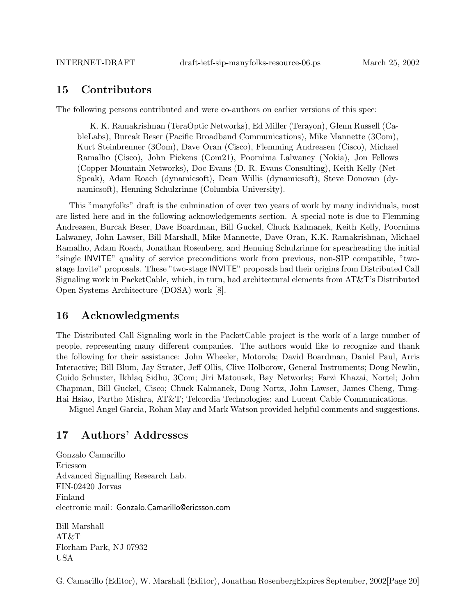# **15 Contributors**

The following persons contributed and were co-authors on earlier versions of this spec:

K. K. Ramakrishnan (TeraOptic Networks), Ed Miller (Terayon), Glenn Russell (CableLabs), Burcak Beser (Pacific Broadband Communications), Mike Mannette (3Com), Kurt Steinbrenner (3Com), Dave Oran (Cisco), Flemming Andreasen (Cisco), Michael Ramalho (Cisco), John Pickens (Com21), Poornima Lalwaney (Nokia), Jon Fellows (Copper Mountain Networks), Doc Evans (D. R. Evans Consulting), Keith Kelly (Net-Speak), Adam Roach (dynamicsoft), Dean Willis (dynamicsoft), Steve Donovan (dynamicsoft), Henning Schulzrinne (Columbia University).

This "manyfolks" draft is the culmination of over two years of work by many individuals, most are listed here and in the following acknowledgements section. A special note is due to Flemming Andreasen, Burcak Beser, Dave Boardman, Bill Guckel, Chuck Kalmanek, Keith Kelly, Poornima Lalwaney, John Lawser, Bill Marshall, Mike Mannette, Dave Oran, K.K. Ramakrishnan, Michael Ramalho, Adam Roach, Jonathan Rosenberg, and Henning Schulzrinne for spearheading the initial "single INVITE" quality of service preconditions work from previous, non-SIP compatible, "twostage Invite" proposals. These "two-stage INVITE" proposals had their origins from Distributed Call Signaling work in PacketCable, which, in turn, had architectural elements from AT&T's Distributed Open Systems Architecture (DOSA) work [8].

## **16 Acknowledgments**

The Distributed Call Signaling work in the PacketCable project is the work of a large number of people, representing many different companies. The authors would like to recognize and thank the following for their assistance: John Wheeler, Motorola; David Boardman, Daniel Paul, Arris Interactive; Bill Blum, Jay Strater, Jeff Ollis, Clive Holborow, General Instruments; Doug Newlin, Guido Schuster, Ikhlaq Sidhu, 3Com; Jiri Matousek, Bay Networks; Farzi Khazai, Nortel; John Chapman, Bill Guckel, Cisco; Chuck Kalmanek, Doug Nortz, John Lawser, James Cheng, Tung-Hai Hsiao, Partho Mishra, AT&T; Telcordia Technologies; and Lucent Cable Communications.

Miguel Angel Garcia, Rohan May and Mark Watson provided helpful comments and suggestions.

# **17 Authors' Addresses**

Gonzalo Camarillo Ericsson Advanced Signalling Research Lab. FIN-02420 Jorvas Finland electronic mail: Gonzalo.Camarillo@ericsson.com

Bill Marshall AT&T Florham Park, NJ 07932 USA

G. Camarillo (Editor), W. Marshall (Editor), Jonathan RosenbergExpires September, 2002[Page 20]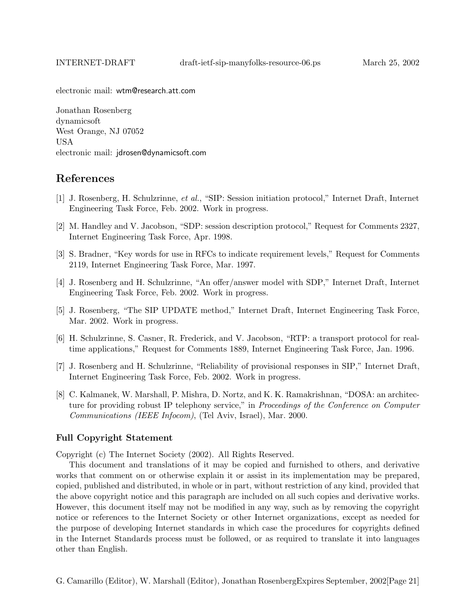electronic mail: wtm@research.att.com

Jonathan Rosenberg dynamicsoft West Orange, NJ 07052 USA electronic mail: jdrosen@dynamicsoft.com

# **References**

- [1] J. Rosenberg, H. Schulzrinne, *et al.*, "SIP: Session initiation protocol," Internet Draft, Internet Engineering Task Force, Feb. 2002. Work in progress.
- [2] M. Handley and V. Jacobson, "SDP: session description protocol," Request for Comments 2327, Internet Engineering Task Force, Apr. 1998.
- [3] S. Bradner, "Key words for use in RFCs to indicate requirement levels," Request for Comments 2119, Internet Engineering Task Force, Mar. 1997.
- [4] J. Rosenberg and H. Schulzrinne, "An offer/answer model with SDP," Internet Draft, Internet Engineering Task Force, Feb. 2002. Work in progress.
- [5] J. Rosenberg, "The SIP UPDATE method," Internet Draft, Internet Engineering Task Force, Mar. 2002. Work in progress.
- [6] H. Schulzrinne, S. Casner, R. Frederick, and V. Jacobson, "RTP: a transport protocol for realtime applications," Request for Comments 1889, Internet Engineering Task Force, Jan. 1996.
- [7] J. Rosenberg and H. Schulzrinne, "Reliability of provisional responses in SIP," Internet Draft, Internet Engineering Task Force, Feb. 2002. Work in progress.
- [8] C. Kalmanek, W. Marshall, P. Mishra, D. Nortz, and K. K. Ramakrishnan, "DOSA: an architecture for providing robust IP telephony service," in *Proceedings of the Conference on Computer Communications (IEEE Infocom)*, (Tel Aviv, Israel), Mar. 2000.

#### **Full Copyright Statement**

Copyright (c) The Internet Society (2002). All Rights Reserved.

This document and translations of it may be copied and furnished to others, and derivative works that comment on or otherwise explain it or assist in its implementation may be prepared, copied, published and distributed, in whole or in part, without restriction of any kind, provided that the above copyright notice and this paragraph are included on all such copies and derivative works. However, this document itself may not be modified in any way, such as by removing the copyright notice or references to the Internet Society or other Internet organizations, except as needed for the purpose of developing Internet standards in which case the procedures for copyrights defined in the Internet Standards process must be followed, or as required to translate it into languages other than English.